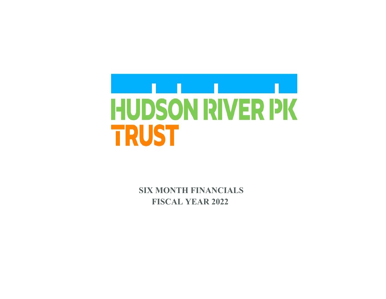

**SIX MONTH FINANCIALS FISCAL YEAR 2022**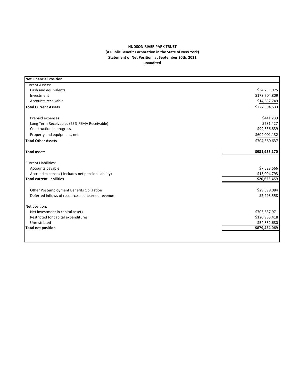## **HUDSON RIVER PARK TRUST (A Public Benefit Corporation in the State of New York) Statement of Net Position at September 30th, 2021 unaudited**

| <b>Net Financial Position</b>                     |               |
|---------------------------------------------------|---------------|
| <b>Current Assets:</b>                            |               |
| Cash and equivalents                              | \$34,231,975  |
| Investment                                        | \$178,704,809 |
| Accounts receivable                               | \$14,657,749  |
| <b>Total Current Assets</b>                       | \$227,594,533 |
| Prepaid expenses                                  | \$441,239     |
| Long Term Receivables (25% FEMA Receivable)       | \$281,427     |
| Construction in progress                          | \$99,636,839  |
| Property and equipment, net                       | \$604,001,132 |
| <b>Total Other Assets</b>                         | \$704,360,637 |
| <b>Total assets</b>                               | \$931,955,170 |
| <b>Current Liabilities:</b>                       |               |
| Accounts payable                                  | \$7,528,666   |
| Accrued expenses (Includes net pension liability) | \$13,094,793  |
| <b>Total current liabilities</b>                  | \$20,623,459  |
| Other Postemployment Benefits Obligation          | \$29,599,084  |
| Deferred inflows of resources - unearned revenue  | \$2,298,558   |
| Net position:                                     |               |
| Net investment in capital assets                  | \$703,637,971 |
| Restricted for capital expenditures               | \$120,933,418 |
| Unrestricted                                      | \$54,862,680  |
| <b>Total net position</b>                         | \$879,434,069 |
|                                                   |               |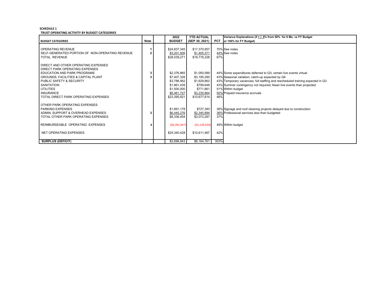## **SCHEDULE 1TRUST OPERATING ACTIVITY BY BUDGET CATEGORIES**

|                                                                                                                                                                                                                                                                                  |                | 2022                                                                                                   | <b>YTD ACTUAL</b>                                                                                  |            | Variance Explanations (if + /- 5% from 50% for 6 Mo. vs FY Budget                                                                                                                                                                                                                                                                      |
|----------------------------------------------------------------------------------------------------------------------------------------------------------------------------------------------------------------------------------------------------------------------------------|----------------|--------------------------------------------------------------------------------------------------------|----------------------------------------------------------------------------------------------------|------------|----------------------------------------------------------------------------------------------------------------------------------------------------------------------------------------------------------------------------------------------------------------------------------------------------------------------------------------|
| <b>BUDGET CATEGORIES</b>                                                                                                                                                                                                                                                         | <b>Note</b>    | <b>BUDGET</b>                                                                                          | (SEP 30, 2021)                                                                                     | <b>PCT</b> | or 100% for FY Budget)                                                                                                                                                                                                                                                                                                                 |
| OPERATING REVENUE<br>SELF-GENERATED PORTION OF NON-OPERATING REVENUE<br><b>TOTAL REVENUE</b>                                                                                                                                                                                     | $\overline{2}$ | \$24,837,345<br>\$3,201,926<br>\$28,039,271                                                            | \$17,370,857<br>\$1,405,371<br>\$18,776,228                                                        | 67%        | 70% See notes<br>44% See notes                                                                                                                                                                                                                                                                                                         |
| DIRECT AND OTHER OPERATING EXPENSES<br>DIRECT PARK OPERATING EXPENSES<br>EDUCATION AND PARK PROGRAMS<br><b>GROUNDS, FACILITIES &amp; CAPITAL PLANT</b><br>PUBLIC SAFETY & SECURITY<br><b>SANITATION</b><br>UTILITIES<br><b>INSURANCE</b><br>TOTAL DIRECT PARK OPERATING EXPENSES | 3              | \$2,376,865<br>\$7,407,328<br>\$3,788,562<br>\$1,861,439<br>\$1,500,000<br>\$6,461,727<br>\$23,395,921 | \$1,050,089<br>\$3,195,290<br>\$1,629,862<br>\$799,648<br>\$771,861<br>\$3,230,864<br>\$10,677,614 | 46%        | 44% Some expenditures deferred to Q3; certain live events virtual<br>43% Seasonal variation; catch-up expected by Q4<br>43% Temporary vacancies; full staffing and rescheduled training expected in Q3<br>43% Summer contingency not required; fewer live events than projected<br>51% Within budget<br>50% Prepaid insurance accruals |
| OTHER PARK OPERATING EXPENSES<br><b>PARKING EXPENSES</b><br>ADMIN, SUPPORT & OVERHEAD EXPENSES<br>TOTAL OTHER PARK OPERATING EXPENSES<br>REIMBURSEABLE OPERATING EXPENSES<br>NET OPERATING EXPENSES                                                                              | 3              | \$1,891,178<br>\$6,445,276<br>\$8,336,454<br>(56, 391, 947)<br>\$25,340,428                            | \$727,393<br>\$2,345,894<br>\$3,073,287<br>( \$3,139,434)<br>\$10,611,467                          | 37%<br>42% | 38% Signage and roof cleaning projects delayed due to construction<br>36% Professional services less than budgeted<br>49% Within budget                                                                                                                                                                                                |
| <b>SURPLUS (DEFICIT)</b>                                                                                                                                                                                                                                                         |                | \$2,698,843                                                                                            | \$8,164,761                                                                                        | 303%       |                                                                                                                                                                                                                                                                                                                                        |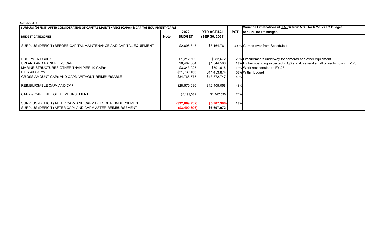## **SCHEDULE 2**

| SURPLUS (DEFICIT) AFTER CONSIDERATION OF CAPITAL MAINTENANCE (CAPm) & CAPITAL EQUIPMENT (CAPx)                                                               |      |                                                                                  |                                                                       |            | Variance Explanations (if $+/-5\%$ from 50% for 6 Mo. vs FY Budget                                                                                                                               |
|--------------------------------------------------------------------------------------------------------------------------------------------------------------|------|----------------------------------------------------------------------------------|-----------------------------------------------------------------------|------------|--------------------------------------------------------------------------------------------------------------------------------------------------------------------------------------------------|
|                                                                                                                                                              |      | 2022                                                                             | <b>YTD ACTUAL</b>                                                     | <b>PCT</b> | or 100% for FY Budget)                                                                                                                                                                           |
| <b>BUDGET CATEGORIES</b>                                                                                                                                     | Note | <b>BUDGET</b>                                                                    | (SEP 30, 2021)                                                        |            |                                                                                                                                                                                                  |
| SURPLUS (DEFICIT) BEFORE CAPITAL MAINTENANCE AND CAPITAL EQUIPMENT                                                                                           |      | \$2,698,843                                                                      | \$8,164,761                                                           |            | 303% Carried over from Schedule 1                                                                                                                                                                |
| EQUIPMENT CAPX<br>UPLAND AND PARK PIERS CAPm<br>MARINE STRUCTURES OTHER THAN PIER 40 CAPm<br>PIER 40 CAPm<br>GROSS AMOUNT CAPx AND CAPM WITHOUT REIMBURSABLE |      | \$1,212,500<br>\$8,482,884<br>\$3,343,025<br><u>\$21,730,166</u><br>\$34,768,575 | \$282,672<br>\$1,544,586<br>\$591,616<br>\$11,453,874<br>\$13,872,747 | 40%        | 23% Procurements underway for cameras and other equipment<br>18% Higher spending expected in Q3 and 4; several small projects now in FY 23<br>18% Work rescheduled to FY 23<br>53% Within budget |
| REIMBURSABLE CAPx AND CAPm                                                                                                                                   |      | \$28,570,036                                                                     | \$12,405,058                                                          | 43%        |                                                                                                                                                                                                  |
| CAPX & CAPM NET OF REIMBURSEMENT                                                                                                                             |      | \$6,198,539                                                                      | \$1,467,690                                                           | 24%        |                                                                                                                                                                                                  |
| SURPLUS (DEFICIT) AFTER CAPx AND CAPM BEFORE REIMBURSEMENT<br>SURPLUS (DEFICIT) AFTER CAPx AND CAPM AFTER REIMBURSEMENT                                      |      | (\$32,069,732)<br>( \$3,499,696)                                                 | ( \$5,707,986)<br>\$6,697,072                                         | 18%        |                                                                                                                                                                                                  |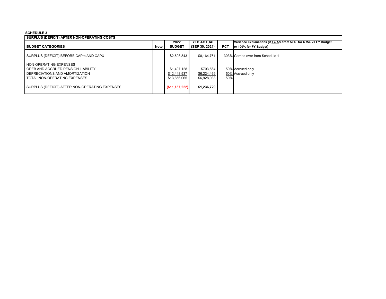## **SCHEDULE 3**

| SURPLUS (DEFICIT) AFTER NON-OPERATING COSTS    |      | 2022            | <b>YTD ACTUAL</b> |            | Variance Explanations (if + /- 5% from 50% for 6 Mo. vs FY Budget |
|------------------------------------------------|------|-----------------|-------------------|------------|-------------------------------------------------------------------|
| <b>BUDGET CATEGORIES</b>                       | Note | <b>BUDGET</b>   | (SEP 30, 2021)    | <b>PCT</b> | or 100% for FY Budget)                                            |
| SURPLUS (DEFICIT) BEFORE CAPm AND CAPX         |      | \$2,698,843     | \$8.164.761       |            | 303% Carried over from Schedule 1                                 |
| I NON-OPERATING EXPENSES                       |      |                 |                   |            |                                                                   |
| OPEB AND ACCRUED PENSION LIABILITY             |      | \$1,407.128     | \$703,564         |            | 50% Accrued only                                                  |
| DEPRECIATIONS AND AMORTIZATION                 |      | \$12,448,937    | \$6,224,469       |            | 50% Accrued only                                                  |
| TOTAL NON-OPERATING EXPENSES                   |      | \$13,856,065    | \$6,928,033       | 50%        |                                                                   |
| SURPLUS (DEFICIT) AFTER NON-OPERATING EXPENSES |      | (S11, 157, 222) | \$1,236,729       |            |                                                                   |